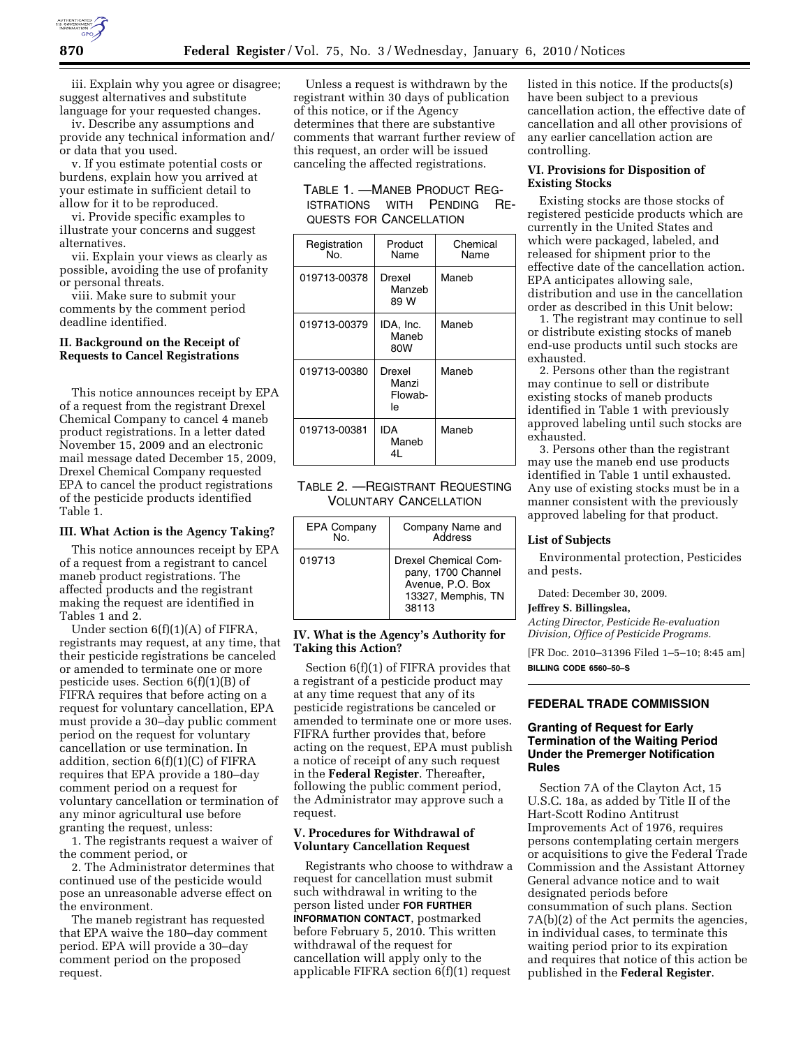iii. Explain why you agree or disagree; suggest alternatives and substitute language for your requested changes.

iv. Describe any assumptions and provide any technical information and/ or data that you used.

v. If you estimate potential costs or burdens, explain how you arrived at your estimate in sufficient detail to allow for it to be reproduced.

vi. Provide specific examples to illustrate your concerns and suggest alternatives.

vii. Explain your views as clearly as possible, avoiding the use of profanity or personal threats.

viii. Make sure to submit your comments by the comment period deadline identified.

## **II. Background on the Receipt of Requests to Cancel Registrations**

This notice announces receipt by EPA of a request from the registrant Drexel Chemical Company to cancel 4 maneb product registrations. In a letter dated November 15, 2009 and an electronic mail message dated December 15, 2009, Drexel Chemical Company requested EPA to cancel the product registrations of the pesticide products identified Table 1.

#### **III. What Action is the Agency Taking?**

This notice announces receipt by EPA of a request from a registrant to cancel maneb product registrations. The affected products and the registrant making the request are identified in Tables 1 and 2.

Under section 6(f)(1)(A) of FIFRA, registrants may request, at any time, that their pesticide registrations be canceled or amended to terminate one or more pesticide uses. Section 6(f)(1)(B) of FIFRA requires that before acting on a request for voluntary cancellation, EPA must provide a 30–day public comment period on the request for voluntary cancellation or use termination. In addition, section 6(f)(1)(C) of FIFRA requires that EPA provide a 180–day comment period on a request for voluntary cancellation or termination of any minor agricultural use before granting the request, unless:

1. The registrants request a waiver of the comment period, or

2. The Administrator determines that continued use of the pesticide would pose an unreasonable adverse effect on the environment.

The maneb registrant has requested that EPA waive the 180–day comment period. EPA will provide a 30–day comment period on the proposed request.

Unless a request is withdrawn by the registrant within 30 days of publication of this notice, or if the Agency determines that there are substantive comments that warrant further review of this request, an order will be issued canceling the affected registrations.

## TABLE 1. —MANEB PRODUCT REG-ISTRATIONS WITH PENDING RE-QUESTS FOR CANCELLATION

| Registration<br>No. | Product<br>Name                   | Chemical<br>Name |
|---------------------|-----------------------------------|------------------|
| 019713-00378        | Drexel<br>Manzeb<br>89 W          | Maneb            |
| 019713-00379        | IDA, Inc.<br>Maneb<br>80W         | Maneb            |
| 019713-00380        | Drexel<br>Manzi<br>Flowab-<br>le. | Maneb            |
| 019713-00381        | IDA<br>Maneb<br>4I.               | Maneh            |

## TABLE 2. —REGISTRANT REQUESTING VOLUNTARY CANCELLATION

| <b>EPA Company</b><br>N∩ | Company Name and<br>Address                                                                   |
|--------------------------|-----------------------------------------------------------------------------------------------|
| 019713                   | Drexel Chemical Com-<br>pany, 1700 Channel<br>Avenue, P.O. Box<br>13327, Memphis, TN<br>38113 |

#### **IV. What is the Agency's Authority for Taking this Action?**

Section 6(f)(1) of FIFRA provides that a registrant of a pesticide product may at any time request that any of its pesticide registrations be canceled or amended to terminate one or more uses. FIFRA further provides that, before acting on the request, EPA must publish a notice of receipt of any such request in the **Federal Register**. Thereafter, following the public comment period, the Administrator may approve such a request.

## **V. Procedures for Withdrawal of Voluntary Cancellation Request**

Registrants who choose to withdraw a request for cancellation must submit such withdrawal in writing to the person listed under **FOR FURTHER INFORMATION CONTACT**, postmarked before February 5, 2010. This written withdrawal of the request for cancellation will apply only to the applicable FIFRA section 6(f)(1) request

listed in this notice. If the products(s) have been subject to a previous cancellation action, the effective date of cancellation and all other provisions of any earlier cancellation action are controlling.

## **VI. Provisions for Disposition of Existing Stocks**

Existing stocks are those stocks of registered pesticide products which are currently in the United States and which were packaged, labeled, and released for shipment prior to the effective date of the cancellation action. EPA anticipates allowing sale, distribution and use in the cancellation order as described in this Unit below:

1. The registrant may continue to sell or distribute existing stocks of maneb end-use products until such stocks are exhausted.

2. Persons other than the registrant may continue to sell or distribute existing stocks of maneb products identified in Table 1 with previously approved labeling until such stocks are exhausted.

3. Persons other than the registrant may use the maneb end use products identified in Table 1 until exhausted. Any use of existing stocks must be in a manner consistent with the previously approved labeling for that product.

#### **List of Subjects**

Environmental protection, Pesticides and pests.

Dated: December 30, 2009.

## **Jeffrey S. Billingslea,**

*Acting Director, Pesticide Re-evaluation Division, Office of Pesticide Programs.* 

[FR Doc. 2010–31396 Filed 1–5–10; 8:45 am] **BILLING CODE 6560–50–S** 

#### **FEDERAL TRADE COMMISSION**

## **Granting of Request for Early Termination of the Waiting Period Under the Premerger Notification Rules**

Section 7A of the Clayton Act, 15 U.S.C. 18a, as added by Title II of the Hart-Scott Rodino Antitrust Improvements Act of 1976, requires persons contemplating certain mergers or acquisitions to give the Federal Trade Commission and the Assistant Attorney General advance notice and to wait designated periods before consummation of such plans. Section 7A(b)(2) of the Act permits the agencies, in individual cases, to terminate this waiting period prior to its expiration and requires that notice of this action be published in the **Federal Register**.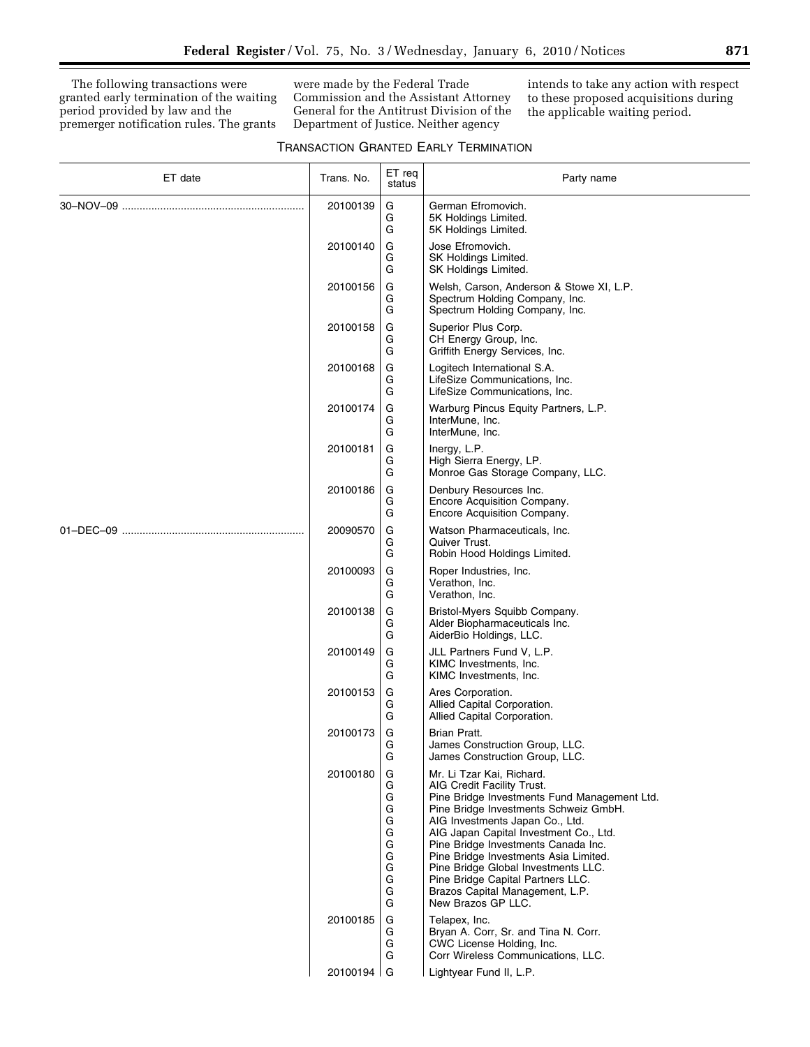The following transactions were granted early termination of the waiting period provided by law and the premerger notification rules. The grants

were made by the Federal Trade Commission and the Assistant Attorney General for the Antitrust Division of the Department of Justice. Neither agency

intends to take any action with respect to these proposed acquisitions during the applicable waiting period.

# TRANSACTION GRANTED EARLY TERMINATION

| ET date | Trans. No. | ET reg<br>status                                                                                                 | Party name                                                                                                                                                                                                                                                                                                                                                                                                                                         |
|---------|------------|------------------------------------------------------------------------------------------------------------------|----------------------------------------------------------------------------------------------------------------------------------------------------------------------------------------------------------------------------------------------------------------------------------------------------------------------------------------------------------------------------------------------------------------------------------------------------|
|         | 20100139   | G<br>G<br>G                                                                                                      | German Efromovich.<br>5K Holdings Limited.<br>5K Holdings Limited.                                                                                                                                                                                                                                                                                                                                                                                 |
|         | 20100140   | G<br>G<br>G                                                                                                      | Jose Efromovich.<br>SK Holdings Limited.<br>SK Holdings Limited.                                                                                                                                                                                                                                                                                                                                                                                   |
|         | 20100156   | G<br>G<br>G                                                                                                      | Welsh, Carson, Anderson & Stowe XI, L.P.<br>Spectrum Holding Company, Inc.<br>Spectrum Holding Company, Inc.                                                                                                                                                                                                                                                                                                                                       |
|         | 20100158   | G<br>G<br>G                                                                                                      | Superior Plus Corp.<br>CH Energy Group, Inc.<br>Griffith Energy Services, Inc.                                                                                                                                                                                                                                                                                                                                                                     |
|         | 20100168   | G<br>G<br>G                                                                                                      | Logitech International S.A.<br>LifeSize Communications, Inc.<br>LifeSize Communications, Inc.                                                                                                                                                                                                                                                                                                                                                      |
|         | 20100174   | G<br>G<br>G                                                                                                      | Warburg Pincus Equity Partners, L.P.<br>InterMune, Inc.<br>InterMune, Inc.                                                                                                                                                                                                                                                                                                                                                                         |
|         | 20100181   | G<br>G<br>G                                                                                                      | Inergy, L.P.<br>High Sierra Energy, LP.<br>Monroe Gas Storage Company, LLC.                                                                                                                                                                                                                                                                                                                                                                        |
|         | 20100186   | G<br>G<br>G                                                                                                      | Denbury Resources Inc.<br>Encore Acquisition Company.<br>Encore Acquisition Company.                                                                                                                                                                                                                                                                                                                                                               |
|         | 20090570   | G<br>G<br>G                                                                                                      | Watson Pharmaceuticals, Inc.<br>Quiver Trust.<br>Robin Hood Holdings Limited.                                                                                                                                                                                                                                                                                                                                                                      |
|         | 20100093   | G<br>G<br>G                                                                                                      | Roper Industries, Inc.<br>Verathon, Inc.<br>Verathon, Inc.                                                                                                                                                                                                                                                                                                                                                                                         |
|         | 20100138   | G<br>G<br>G                                                                                                      | Bristol-Myers Squibb Company.<br>Alder Biopharmaceuticals Inc.<br>AiderBio Holdings, LLC.                                                                                                                                                                                                                                                                                                                                                          |
|         | 20100149   | G<br>G<br>G                                                                                                      | JLL Partners Fund V, L.P.<br>KIMC Investments, Inc.<br>KIMC Investments, Inc.                                                                                                                                                                                                                                                                                                                                                                      |
|         | 20100153   | G<br>G<br>G                                                                                                      | Ares Corporation.<br>Allied Capital Corporation.<br>Allied Capital Corporation.                                                                                                                                                                                                                                                                                                                                                                    |
|         | 20100173   | G<br>G<br>G                                                                                                      | Brian Pratt.<br>James Construction Group, LLC.<br>James Construction Group, LLC.                                                                                                                                                                                                                                                                                                                                                                   |
|         | 20100180   | G<br>G<br>G<br>G<br>${\bf G}$<br>G<br>${\bf G}$<br>${\mathsf G}$<br>${\bf G}$<br>${\mathsf G}$<br>${\bf G}$<br>G | Mr. Li Tzar Kai, Richard.<br>AIG Credit Facility Trust.<br>Pine Bridge Investments Fund Management Ltd.<br>Pine Bridge Investments Schweiz GmbH.<br>AIG Investments Japan Co., Ltd.<br>AIG Japan Capital Investment Co., Ltd.<br>Pine Bridge Investments Canada Inc.<br>Pine Bridge Investments Asia Limited.<br>Pine Bridge Global Investments LLC.<br>Pine Bridge Capital Partners LLC.<br>Brazos Capital Management, L.P.<br>New Brazos GP LLC. |
|         | 20100185   | G<br>G<br>G<br>G                                                                                                 | Telapex, Inc.<br>Bryan A. Corr, Sr. and Tina N. Corr.<br>CWC License Holding, Inc.<br>Corr Wireless Communications, LLC.                                                                                                                                                                                                                                                                                                                           |
|         | 20100194 G |                                                                                                                  | Lightyear Fund II, L.P.                                                                                                                                                                                                                                                                                                                                                                                                                            |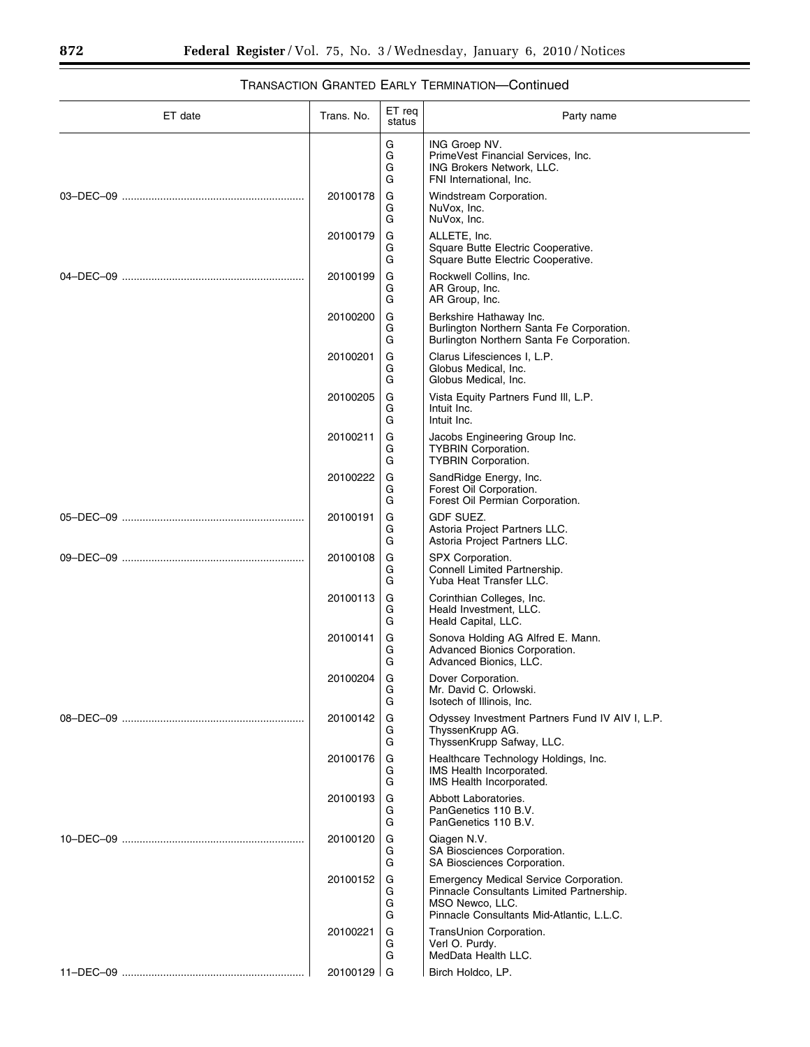| ET date | Trans. No. | ET req<br>status | Party name                                                                                                                                          |
|---------|------------|------------------|-----------------------------------------------------------------------------------------------------------------------------------------------------|
|         |            | G<br>G<br>G<br>G | ING Groep NV.<br>PrimeVest Financial Services, Inc.<br>ING Brokers Network, LLC.<br>FNI International. Inc.                                         |
|         | 20100178   | G<br>G<br>G      | Windstream Corporation.<br>NuVox, Inc.<br>NuVox, Inc.                                                                                               |
|         | 20100179   | G<br>G<br>G      | ALLETE, Inc.<br>Square Butte Electric Cooperative.<br>Square Butte Electric Cooperative.                                                            |
|         | 20100199   | G<br>G<br>G      | Rockwell Collins, Inc.<br>AR Group, Inc.<br>AR Group, Inc.                                                                                          |
|         | 20100200   | G<br>G<br>G      | Berkshire Hathaway Inc.<br>Burlington Northern Santa Fe Corporation.<br>Burlington Northern Santa Fe Corporation.                                   |
|         | 20100201   | G<br>G<br>G      | Clarus Lifesciences I, L.P.<br>Globus Medical, Inc.<br>Globus Medical, Inc.                                                                         |
|         | 20100205   | G<br>G<br>G      | Vista Equity Partners Fund III, L.P.<br>Intuit Inc.<br>Intuit Inc.                                                                                  |
|         | 20100211   | G<br>G<br>G      | Jacobs Engineering Group Inc.<br><b>TYBRIN Corporation.</b><br><b>TYBRIN Corporation.</b>                                                           |
|         | 20100222   | G<br>G<br>G      | SandRidge Energy, Inc.<br>Forest Oil Corporation.<br>Forest Oil Permian Corporation.                                                                |
|         | 20100191   | G<br>G<br>G      | <b>GDF SUEZ.</b><br>Astoria Project Partners LLC.<br>Astoria Project Partners LLC.                                                                  |
|         | 20100108   | G<br>G<br>G      | SPX Corporation.<br>Connell Limited Partnership.<br>Yuba Heat Transfer LLC.                                                                         |
|         | 20100113   | G<br>G<br>G      | Corinthian Colleges, Inc.<br>Heald Investment, LLC.<br>Heald Capital, LLC.                                                                          |
|         | 20100141   | G<br>G<br>G      | Sonova Holding AG Alfred E. Mann.<br>Advanced Bionics Corporation.<br>Advanced Bionics, LLC.                                                        |
|         | 20100204   | G<br>G<br>G      | Dover Corporation.<br>Mr. David C. Orlowski.<br>Isotech of Illinois, Inc.                                                                           |
|         | 20100142   | G<br>G<br>G      | Odyssey Investment Partners Fund IV AIV I, L.P.<br>ThyssenKrupp AG.<br>ThyssenKrupp Safway, LLC.                                                    |
|         | 20100176   | G<br>G<br>G      | Healthcare Technology Holdings, Inc.<br>IMS Health Incorporated.<br>IMS Health Incorporated.                                                        |
|         | 20100193   | G<br>G<br>G      | Abbott Laboratories.<br>PanGenetics 110 B.V.<br>PanGenetics 110 B.V.                                                                                |
|         | 20100120   | G<br>G<br>G      | Qiagen N.V.<br>SA Biosciences Corporation.<br>SA Biosciences Corporation.                                                                           |
|         | 20100152   | G<br>G<br>G<br>G | Emergency Medical Service Corporation.<br>Pinnacle Consultants Limited Partnership.<br>MSO Newco, LLC.<br>Pinnacle Consultants Mid-Atlantic, L.L.C. |
|         | 20100221   | G<br>G<br>G      | TransUnion Corporation.<br>Verl O. Purdy.<br>MedData Health LLC.                                                                                    |
|         | 20100129 G |                  | Birch Holdco, LP.                                                                                                                                   |

# TRANSACTION GRANTED EARLY TERMINATION—Continued